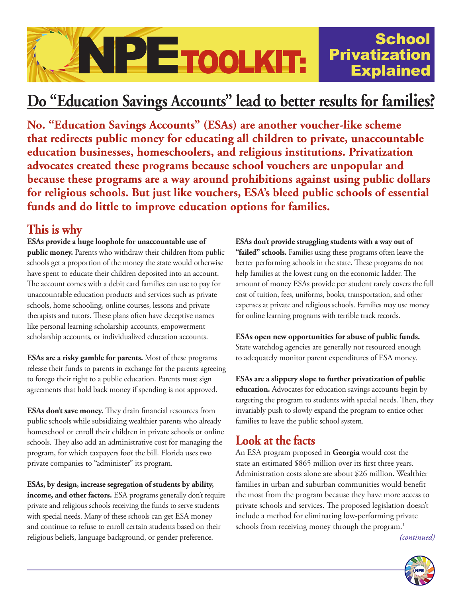

# **Do "Education Savings Accounts" lead to better results for families?**

**No. "Education Savings Accounts" (ESAs) are another voucher-like scheme that redirects public money for educating all children to private, unaccountable education businesses, homeschoolers, and religious institutions. Privatization advocates created these programs because school vouchers are unpopular and because these programs are a way around prohibitions against using public dollars for religious schools. But just like vouchers, ESA's bleed public schools of essential funds and do little to improve education options for families.**

#### **This is why**

**ESAs provide a huge loophole for unaccountable use of public money.** Parents who withdraw their children from public schools get a proportion of the money the state would otherwise have spent to educate their children deposited into an account. The account comes with a debit card families can use to pay for unaccountable education products and services such as private schools, home schooling, online courses, lessons and private therapists and tutors. These plans often have deceptive names like personal learning scholarship accounts, empowerment scholarship accounts, or individualized education accounts.

**ESAs are a risky gamble for parents.** Most of these programs release their funds to parents in exchange for the parents agreeing to forego their right to a public education. Parents must sign agreements that hold back money if spending is not approved.

**ESAs don't save money.** They drain financial resources from public schools while subsidizing wealthier parents who already homeschool or enroll their children in private schools or online schools. They also add an administrative cost for managing the program, for which taxpayers foot the bill. Florida uses two private companies to "administer" its program.

**ESAs, by design, increase segregation of students by ability, income, and other factors.** ESA programs generally don't require private and religious schools receiving the funds to serve students with special needs. Many of these schools can get ESA money and continue to refuse to enroll certain students based on their religious beliefs, language background, or gender preference.

**ESAs don't provide struggling students with a way out of "failed" schools.** Families using these programs often leave the better performing schools in the state. These programs do not help families at the lowest rung on the economic ladder. The amount of money ESAs provide per student rarely covers the full cost of tuition, fees, uniforms, books, transportation, and other expenses at private and religious schools. Families may use money for online learning programs with terrible track records.

**ESAs open new opportunities for abuse of public funds.**  State watchdog agencies are generally not resourced enough to adequately monitor parent expenditures of ESA money.

**ESAs are a slippery slope to further privatization of public education.** Advocates for education savings accounts begin by targeting the program to students with special needs. Then, they invariably push to slowly expand the program to entice other families to leave the public school system.

## **Look at the facts**

An ESA program proposed in **Georgia** would cost the state an estimated \$865 million over its first three years. Administration costs alone are about \$26 million. Wealthier families in urban and suburban communities would benefit the most from the program because they have more access to private schools and services. The proposed legislation doesn't include a method for eliminating low-performing private schools from receiving money through the program.<sup>1</sup>

 *(continued)*